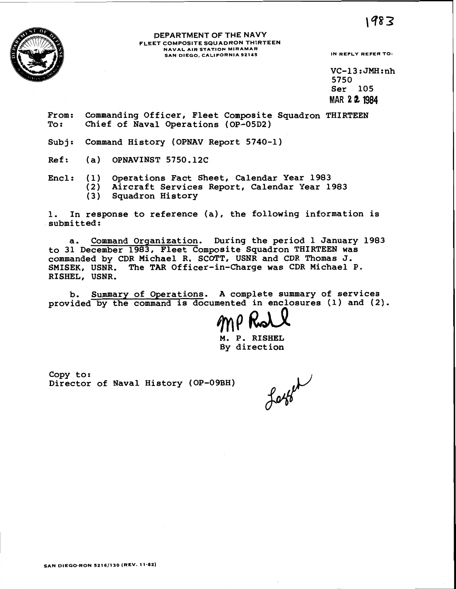1983



#### **DEPARTMENT OF THE NAVY FLEET COMPOSITE SQUADRON THIRTEEN NAVAL AIR STATION MIRAMAR SAN DIEGO. CALIFORNIA 92145 IN REPLY REFER TO:**

 $VC-13:JMH:nh$ 5750 **Ser 105 MAR 2** *8* **1984** 

**From: Commanding Officer, Fleet Composite Squadron THIRTEEN To** : **Chief of Naval Operations (OP-05D2)** 

**Subj: Command History (OPNAV Report 5740-1)** 

- **Ref: (a) OPNAVINST 5750.12C**
- **Encl: (1) Operations Fact Sheet, Calendar Year 1983 (2) Aircraft Services Report, Calendar Year 1983** 
	- **(3) Squadron History**

**1. In response to reference (a), the following information is submitted:** 

**a. Command Orqanization. During the period 1 January 1983 to 31 December 1983, Fleet Composite Squadron THIRTEEN was commanded by CDR Michael R. SCOTT, USNR and CDR Thomas J. SMISEK, USNR. The TAR Officer-in-Charge was CDR Michael P. RISHEL, USNR.** 

**b. Summary of Operations, A complete summary of services provided by the command is documented in enclosures (1) and (2).** 

**M. P. RISHEL By direction** 

**Copy to: Director of Naval History (OP-09BH)** 

Latter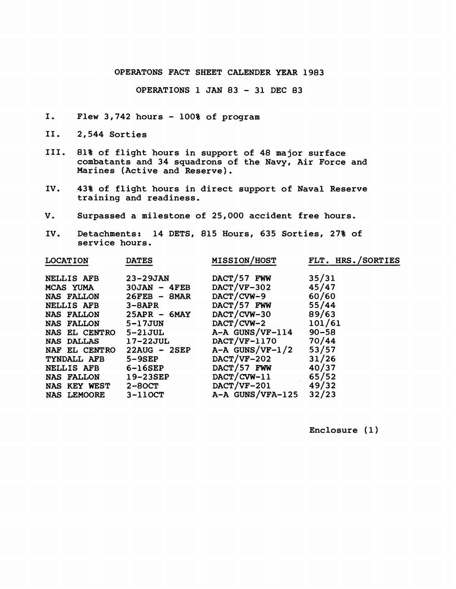## **OPERATONS FACT SHEET CALENDER YEAR 1983**

**OPERATIONS 1** JAN **<sup>83</sup>**- **31 DEC 83** 

- **I. Flew 3,742 hours 100% of program**
- **11. 2,544 Sorties**
- **111. 81% of flight hours in support of 48 major surface combatants and 34 squadrons of the Navy, Air Force and Marines (Active and Reserve).**
- **IV. 43% of flight hours in direct support of Naval Reserve training and readiness.**
- **V. Surpassed a milestone of 25,000 accident free hours.**
- **IV. Detachments: 14 DETS, 815 Hours, 635 Sorties, 27% of service hours.**

| <b>LOCATION</b>    | <b>DATES</b>    | <b>MISSION/HOST</b> | FLT. HRS./SORTIES |
|--------------------|-----------------|---------------------|-------------------|
| NELLIS AFB         | <b>23-29JAN</b> | DACT/57 FWW         | 35/31             |
| <b>MCAS YUMA</b>   | $30JAN - 4FEB$  | $DACT/VF-302$       | 45/47             |
| <b>NAS FALLON</b>  | $26FEB - 8MAR$  | DACT/CVW-9          | 60/60             |
| <b>NELLIS AFB</b>  | $3-8APR$        | $DACT/57$ FWW       | 55/44             |
| <b>NAS FALLON</b>  | $25APR - 6MAY$  | DACT/CVW-30         | 89/63             |
| <b>NAS FALLON</b>  | <b>5-17JUN</b>  | $DACT/CVW-2$        | 101/61            |
| NAS EL CENTRO      | <b>5-21JUL</b>  | A-A GUNS/VF-114     | $90 - 58$         |
| <b>NAS DALLAS</b>  | <b>17-22JUL</b> | DACT/VF-1170        | 70/44             |
| NAF EL CENTRO      | $22AUG - 2SEP$  | A-A GUNS/VF-1/2     | 53/57             |
| TYNDALL AFB        | <b>5-9SEP</b>   | $DACT/VF-202$       | 31/26             |
| <b>NELLIS AFB</b>  | 6-16SEP         | $DACT/57$ FWW       | 40/37             |
| <b>NAS FALLON</b>  | <b>19-23SEP</b> | $DACT/CVW-11$       | 65/52             |
| NAS KEY WEST       | <b>2-80CT</b>   | $DACT/VF-201$       | 49/32             |
| <b>NAS LEMOORE</b> | $3-110CT$       | A-A GUNS/VFA-125    | 32/23             |
|                    |                 |                     |                   |

**Enclosure (1)**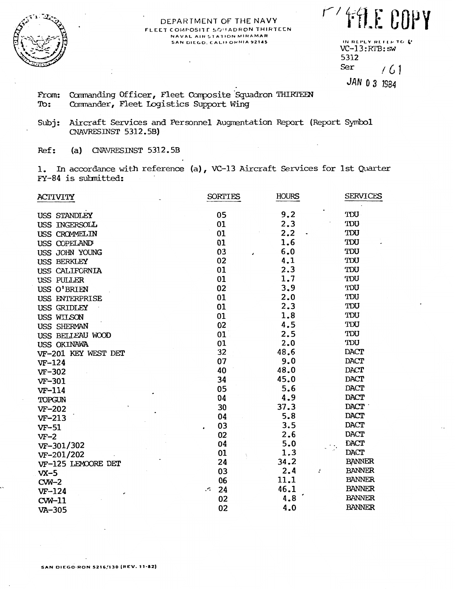

#### DEPARTMENT OF THE NAVY FLEET COMPOSITE SO HADRON THIRTEEN NAVAL AIR STATION MIRAMAR SAN DIEGO, CALIFORNIA 92145

MY FALE COPY

IN REPLY REFER TO L'  $VC-13:RTB:sw$ 5312 Ser  $(61)$ JAN 0 3 1984

Commanding Officer, Fleet Composite Squadron THIRTEEN From: Commander, Fleet Logistics Support Wing To:

 $Subi:$ Aircraft Services and Personnel Augmentation Report (Report Symbol CNAVRESINST 5312.5B)

 $Ref:$ (a) CNAVRESINST  $5312.5B$ 

1. In accordance with reference (a), VC-13 Aircraft Services for 1st Quarter FY-84 is submitted:

| <b>ACTIVITY</b>     | <b>SORTIES</b> | <b>HOURS</b> | <b>SERVICES</b> |
|---------------------|----------------|--------------|-----------------|
| USS STANDLEY        | 05             | 9.2          | TDU             |
| USS INGERSOLL       | 01             | 2.3          | TDU             |
| USS CROMMELIN       | 01             | 2.2          | TDU             |
| USS COPELAND        | 01             | 1.6          | TDU             |
| USS JOHN YOUNG      | 03             | 6.0          | TDU             |
| USS BERKLEY         | 02             | 4.1          | TDU             |
| USS CALIFORNIA      | 01             | 2.3          | TDU             |
| USS PULLER          | 01             | 1.7          | TDU             |
| USS O'BRIEN         | 02             | 3,9          | TDU             |
| USS ENTERPRISE      | 01             | 2.0          | TDU             |
| <b>USS GRIDLEY</b>  | 01             | 2.3          | TDU             |
| USS WILSON          | 01             | 1.8          | TDU             |
| USS SHERMAN         | 02             | 4.5          | TDU             |
| USS BEILEAU WOOD    | 01             | 2.5          | TDU             |
| USS OKINAWA         | 01             | 2.0          | TDU             |
| VF-201 KEY WEST DET | 32             | 48.6         | <b>DACT</b>     |
| $VF-124$            | 07             | 9.0          | <b>DACT</b>     |
| VF-302              | 40             | 48.0         | <b>DACT</b>     |
| VF-301              | 34             | 45.0         | <b>DACT</b>     |
| VF-114              | 05             | 5.6          | <b>DACT</b>     |
| TOPGUN              | 04             | 4.9          | DACT            |
| VF-202              | 30             | 37.3         | <b>DACT</b>     |
| $VF-213$            | 04             | 5.8          | <b>DACT</b>     |
| $VF-51$             | 03             | 3.5          | <b>DACT</b>     |
| $VF-2$              | 02             | 2.6          | <b>DACT</b>     |
| VF-301/302          | 04             | 5.0          | <b>DACT</b>     |
| VF-201/202          | 01             | 1.3          | <b>DACT</b>     |
| VF-125 LEMOORE DET  | 24             | 34.2         | <b>BANNER</b>   |
| $VX-5$              | 03             | 2.4          | <b>BANNER</b>   |
| $CW-2$              | 06             | 11.1         | <b>BANNER</b>   |
| $VF-124$            | 24<br>$\cdot$  | 46.1         | <b>BANNER</b>   |
| $CW-11$             | 02             | 4.8          | <b>BANNER</b>   |
| VA-305              | 02             | 4.0          | <b>BANNER</b>   |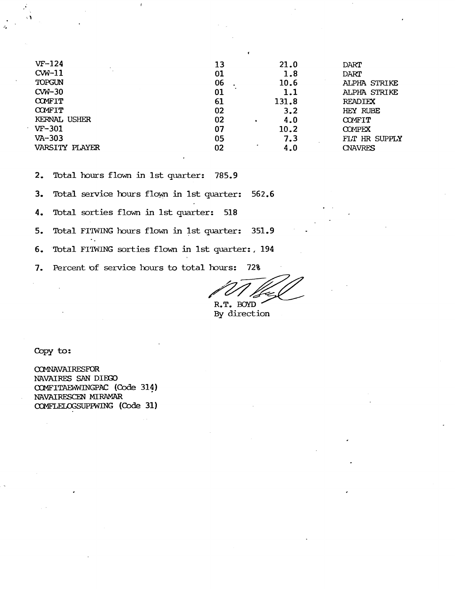| $VF-124$       | 21.0           |
|----------------|----------------|
| 13             | DART           |
| $CW-11$        | 1.8            |
| 01             | DART           |
| TOPGUN         | 10.6           |
| 06             | ALPHA STRIKE   |
| $CW-30$        | 1.1            |
| 01             | ALPHA STRIKE   |
| <b>COMFIT</b>  | 131.8          |
| 61             | <b>READIEX</b> |
| <b>COMFIT</b>  | 3.2            |
| 02             | HEY RUBE       |
| KERNAL USHER   | 4.0            |
| 02             | <b>COMFIT</b>  |
| $VF-301$       | 10.2           |
| 07             | <b>COMPEX</b>  |
| $VA-303$       | 7.3            |
| 05             | FLT HR SUPPLY  |
| VARSITY PLAYER | 4.0            |
| 02             | <b>CNAVRES</b> |

 $2.$ Total hours flown in 1st quarter: 785.9

 $\overline{1}$ 

Total service hours flown in 1st quarter:  $3.$ 562.6

Total sorties flown in 1st quarter:  $4.$ 518

Total FITWING hours flown in 1st quarter: 5. 351.9

6. Total FITWING sorties flown in 1st quarter: , 194

 $7.$ Percent of service hours to total hours: 72%

R.T. BOYD

By direction

Copy to:

COMNAVAIRESFOR NAVAIRES SAN DIEGO COMFITAEWNINGPAC (Code 314) NAVAIRESCEN MIRAMAR COMFLELOGSUPPWING (Code 31)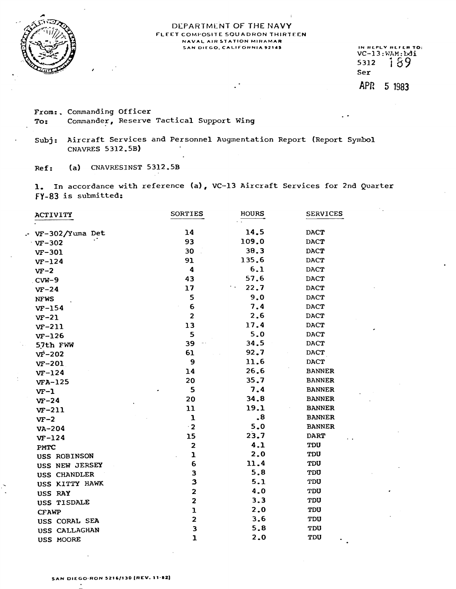

#### DEPARTMENT **OF** THE **NAVY FLEET COMPOSITE SOUADRON THIRTEEN NAVAL AIR STATION MIRAMAR**  SAN DIEGO, CALIFORNIA 92145 **IN HEPLY REFER TO:**

**VC-13:VAM:bdi**  5312 189 Ser APR 5 1983

**From:.** Commanding Officer **To:** Commander, Reserve Tactical Support Wing

Subj: Aircraft Services and Personnel Augmentation Report (Report Symbol CNAVRES **5** 312.5B)

Ref: **(a)** CNAVRESINST 5312. **SB** 

1, **In** accordance with reference **(a),** VC-13 Aircraft Services for 2nd Quarter **FY-83** is submitted:

| ACTIVITY                | <b>SORTIES</b>                          | <b>HOURS</b> | <b>SERVICES</b> |
|-------------------------|-----------------------------------------|--------------|-----------------|
|                         | 14                                      | 14.5         | <b>DACT</b>     |
| $\cdot$ VF-302/Yuma Det | 93                                      | 109.0        | <b>DACT</b>     |
| $vr - 302$              | 30                                      | 38.3         | <b>DACT</b>     |
| $VF-301$                | 91                                      | 135.6        | <b>DACT</b>     |
| $VF-124$                | $\boldsymbol{4}$                        | 6.1          | <b>DACT</b>     |
| $VF-2$                  | 43                                      | 57.6         | DACT            |
| $CVM-9$                 | 17                                      | 22.7         | <b>DACT</b>     |
| $VF-24$                 | 5                                       | 9.0          | <b>DACT</b>     |
| <b>NFWS</b>             | 6                                       | 7.4          | <b>DACT</b>     |
| $VF-154$                | $\overline{\mathbf{c}}$                 | 2.6          | <b>DACT</b>     |
| $VF-21$                 | 13                                      | 17.4         | <b>DACT</b>     |
| $VF-211$                | 5                                       | 5.0          | <b>DACT</b>     |
| $VF-126$                | 39                                      | 34.5         | <b>DACT</b>     |
| 57th FWW                | 61                                      | 92.7         | <b>DACT</b>     |
| $V_{\rm F}$ – 202       | 9                                       | 11.6         | <b>DACT</b>     |
| $VF-201$                | 14                                      | 26.6         | <b>BANNER</b>   |
| $VF-124$                | 20                                      | 35.7         | <b>BANNER</b>   |
| $VFA-125$               | 5                                       | 7.4          | <b>BANNER</b>   |
| $VF-1$                  | 20                                      | 34.8         | <b>BANNER</b>   |
| $VF-24$                 | 11                                      | 19.1         | <b>BANNER</b>   |
| $VF-211$                | $\mathbf{I}$                            | $\cdot^8$    | <b>BANNER</b>   |
| $VF-2$                  | $\cdot$ 2                               | 5.0          | <b>BANNER</b>   |
| VA-204                  |                                         | 23.7         | <b>DART</b>     |
| $VF-124$                | 15                                      | 4.1          | TDU             |
| PMTC                    | $\overline{\mathbf{2}}$                 | 2.0          | TDU             |
| USS ROBINSON            | $\mathbf{I}$<br>6                       | 11.4         | TDU             |
| USS NEW JERSEY          | 3                                       | 5.8          | TDU             |
| USS CHANDLER            | 3                                       | 5.1          | TDU             |
| USS KITTY HAWK          |                                         | 4.0          | <b>TDU</b>      |
| USS RAY                 | $\mathbf{2}$<br>$\overline{\mathbf{c}}$ | 3.3          |                 |
| USS TISDALE             |                                         |              | TDU             |
| <b>CFAWP</b>            | $\mathbf{1}$                            | 2.0          | TDU             |
| USS CORAL SEA           | $\mathbf{2}$                            | 3.6          | TDU             |
| USS CALLAGHAN           | 3                                       | 5.8          | <b>TDU</b>      |
| USS MOORE               | ı                                       | 2.0          | TDU             |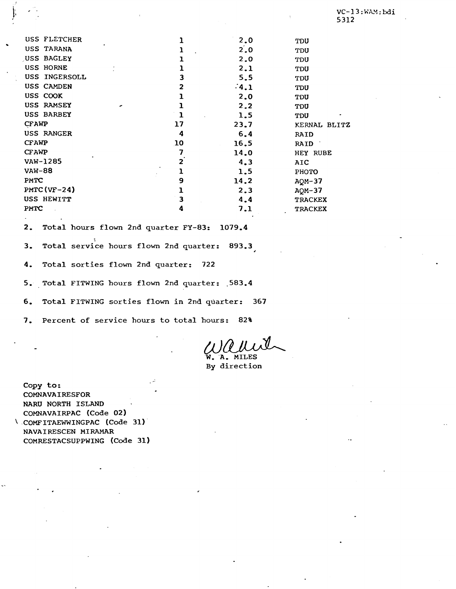| USS FLETCHER  |                | 2.0              | TDU            |
|---------------|----------------|------------------|----------------|
| USS TARANA    |                | $2^{\prime}$ . 0 | <b>TDU</b>     |
| USS BAGLEY    |                | 2.0              | TDU            |
| USS HORNE     |                | 2.1              | <b>TDU</b>     |
| USS INGERSOLL | 3              | 5.5              | TDU            |
| USS CAMDEN    | $\mathbf{z}$   | $-4.1$           | TDU            |
| USS COOK      |                | 2.0              | TDU            |
| USS RAMSEY    |                | 2.2              | <b>TDU</b>     |
| USS BARBEY    | ı              | 1.5              | TDU            |
| <b>CFAWP</b>  | 17             | 23.7             | KERNAL BLITZ   |
| USS RANGER    | 4              | 6, 4             | RAID           |
| <b>CFAWP</b>  | 10             | 16.5             | RAID 7         |
| CFAWP         | 7              | 14.0             | HEY RUBE       |
| VAW-1285      | $\overline{2}$ | 4.3              | AIC            |
| <b>VAW-88</b> |                | 1.5              | PHOTO          |
| PMTC          | 9              | 14.2             | $AQM-37$       |
| $PMTC(VF-24)$ | ı              | 2.3              | $AQM-37$       |
| USS HEWITT    | 3              | 4.4              | <b>TRACKEX</b> |
| PMTC          | 4              | 7.1              | <b>TRACKEX</b> |

2. Total hours flown 2nd quarter FY-83: 1079.4

3. Total service hours flown 2nd quarter: 893.3

**4.** Total sorties flown 2nd quarter: 722

5. Total FITWING hours flown 2nd quarter: .583.4

6. Total FITWING sorties flown in 2nd quarter: 367

7. Percent of service hours to total hours: 82%

W. A. MILES By direction

Copy to: COMNAVAIRESFOR NARU NORTH ISLAND COMNAVAIRPAC (Code 02) \ COMFITAEWWINGPAC (Code 31) NAVA I RESCEN MI **RAMAR**  COMRESTACSUPPWING (Code 31)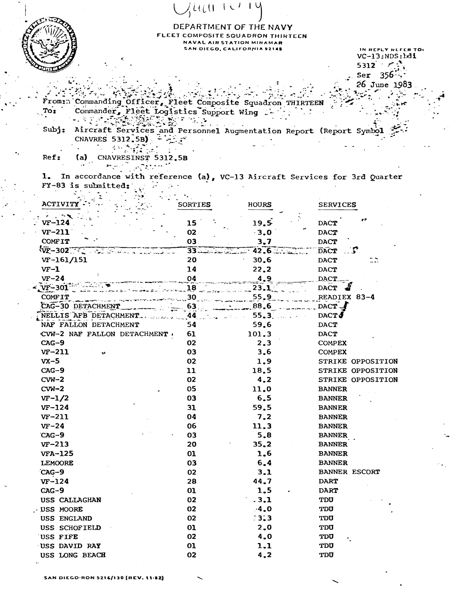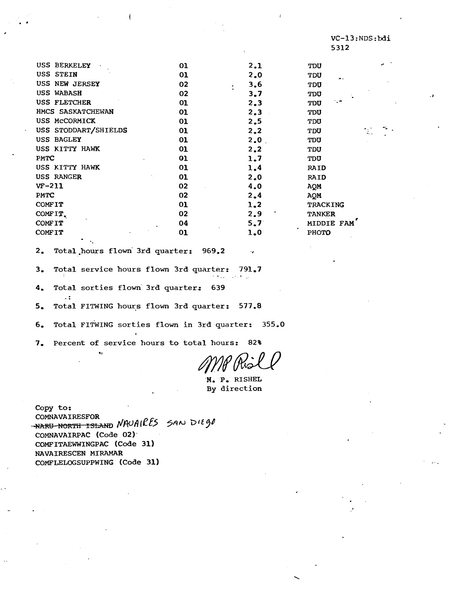| USS BERKELEY         | 01 | 2.1              | TDU              |  |
|----------------------|----|------------------|------------------|--|
| USS STEIN            | 01 | 2.0              | <b>TDU</b><br>۰. |  |
| USS NEW JERSEY       | 02 | 3,6<br>$\bullet$ | <b>TDU</b>       |  |
| <b>USS WABASH</b>    | 02 | 3.7              | TDU              |  |
| USS FLETCHER         | 01 | 2.3              | TDU              |  |
| HMCS SASKATCHEWAN    | 01 | 2.3              | TDU              |  |
| USS MCCORMICK        | 01 | 2,5              | TDU              |  |
| USS STODDART/SHIELDS | 01 | 2,2              | <b>TDU</b>       |  |
| USS BAGLEY           | 01 | 2.0              | TDU              |  |
| USS KITTY HAWK       | 01 | 2, 2             | <b>TDU</b>       |  |
| PMTC                 | 01 | 1.7              | TDU              |  |
| USS KITTY HAWK       | 01 | 1.4              | <b>RAID</b>      |  |
| USS RANGER           | 01 | 2.0              | RAID             |  |
| $VF-211$             | 02 | 4.0              | AQM              |  |
| PMTC                 | 02 | 2,4              | AQM              |  |
| <b>COMFIT</b>        | 01 | 1.2              | TRACKING         |  |
| COMFIT.              | 02 | 2.9              | <b>TANKER</b>    |  |
| <b>COMFIT</b>        | 04 | 5.7              | MIDDIE FAM       |  |
| <b>COMFIT</b>        | 01 | 1.0              | PHOTO            |  |
|                      |    |                  |                  |  |

 $2.$ Total hours flown 3rd quarter: 969.2

Total service hours flown 3rd quarter:  $3.$ 791.7

 $4.$ Total sorties flown 3rd quarter: 639

 $\overline{\phantom{a}}$ 

Total FITWING hours flown 3rd quarter: 577.8  $5<sub>o</sub>$ 

Total FITWING sorties flown in 3rd quarter: 355.0  $6.$ 

Percent of service hours to total hours: 82%  $7.$ 

N. P. RISHEL By direction

Copy to: COMNAVAIRESFOR HARY NORTH ISLAND NAUAIRES SAN DIEGO COMNAVAIRPAC (Code 02) COMFITAEWWINGPAC (Code 31) NAVAIRESCEN MIRAMAR COMFLELOGSUPPWING (Code 31)

 $\ddot{\phantom{a}}$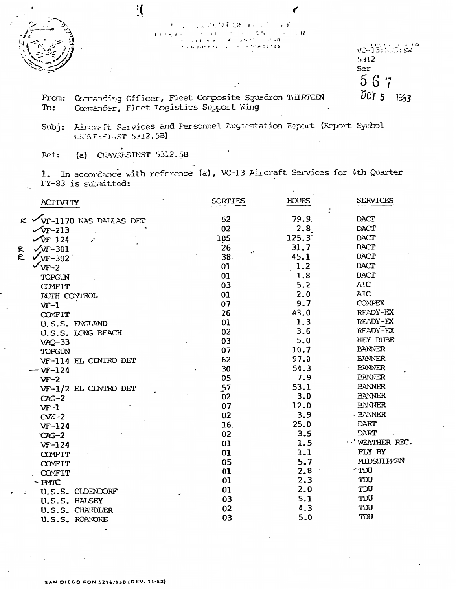<u>{</u> vo-13:00: Ex  $5312$ Ser 567 OCT 5 1933 Comanding Officer, Fleet Composite Squadron THIRTEEN From:

Commander, Fleet Logistics Support Wing To:

Aircraft Services and Personnel Auguentation Report (Report Symbol  $Subj:$ CIENFESTIGT 5312.5B)

(a)  $C$  AVRESINST 5312.5B Ref:

1. In accordance with reference (a), VC-13 Aircraft Services for 4th Quarter FY-83 is submitted:

| ACTIVITY                         | <b>SORTIES</b> | <b>HOURS</b> | <b>SERVICES</b>    |
|----------------------------------|----------------|--------------|--------------------|
| R VYF-1170 NAS DALLAS DET        | 52             | 79.9.        | DACT               |
| $\sqrt{v}$ F-213                 | 02             | 2.8          | <b>DACT</b>        |
| $\sqrt{r-124}$                   | 105            | 125.3        | <b>DACT</b>        |
| $\sqrt{yr}$ -301                 | 26             | 31.7         | <b>DACT</b>        |
| R<br>C<br>$\sqrt{\text{VF}-302}$ | 38.            | 45.1         | <b>DACT</b>        |
| $\sqrt{v_{\text{F}-2}}$          | 01             | 1.2          | <b>DACT</b>        |
| TOPGUN                           | 01             | 1.8          | <b>DACT</b>        |
| COMFIT                           | 03             | 5.2          | AIC                |
| RUTH CONTROL                     | 01             | 2.0          | AIC                |
| $VF-1$                           | 07             | 9.7          | <b>COMPEX</b>      |
| COMFIT                           | 26             | 43.0         | READY-EX           |
| U.S.S. ENGLAND                   | 01             | 1.3          | READY-EX           |
| U.S.S. LONG BEACH                | 02             | 3.6          | READY-EX           |
| $VAQ-33$                         | 03             | 5.0          | HEY RUBE           |
| TOPGUN                           | 07             | 10.7         | <b>BANNER</b>      |
| VF-114 EL CENTRO DET             | 62             | 97.0         | <b>EANNER</b>      |
| $-$ VF-124                       | 30             | 54.3         | <b>EANNER</b>      |
| $VF-2$                           | 05             | 7.9          | <b>BANNER</b>      |
| VF-1/2 EL CENTRO DET             | 57             | 53.1         | <b>BANNER</b>      |
| $CAG-2$                          | 02             | 3.0          | <b>BANNER</b>      |
| $VF-1$                           | 07             | 12.0         | <b>BANNER</b>      |
| $CW-2$                           | 02             | 3.9          | <b>BANNER</b>      |
| $VF-124$                         | 16.            | 25.0         | DART               |
| CAG-2                            | 02             | 3.5          | <b>DART</b>        |
| $VF-124$                         | 01             | 1.5          | <b>WEATHER REC</b> |
| COMFIT                           | 01             | 1.1          | FLY BY             |
| COMFIT                           | 05             | 5.7          | MIDSHIPMAN         |
| COMFIT                           | 01             | 2.8          | - TDU              |
| $-$ PMTC                         | 01             | 2.3          | TDU                |
| U.S.S. OLDENDORF                 | 01             | 2.0          | TDU                |
| U.S.S. HALSEY                    | 03             | 5.1          | <b>UCT</b>         |
| U.S.S. CHANDLER                  | 02             | 4.3          | TDU                |
| U.S.S. ROANOKE                   | 03             | 5.0          | <b>UGT</b>         |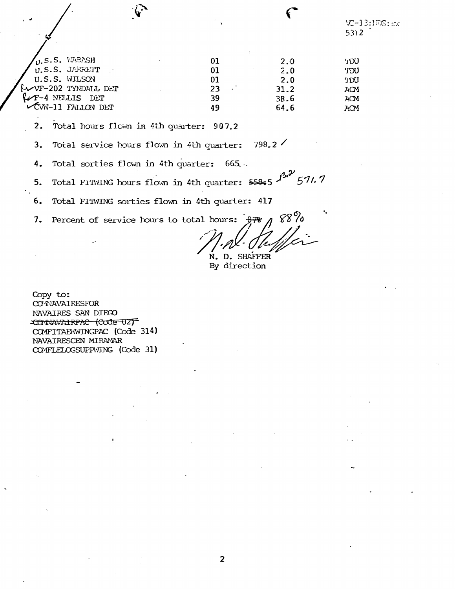# VC-13:1FS: sx  $5312$

| $\int_{\text{U.S.S. JÆREIT}}$ | 01 | 2.0            | <b>TDU</b> |
|-------------------------------|----|----------------|------------|
|                               | 01 | $\mathbf{2.0}$ | 'TDU       |
| U.S.S. WILSON                 | 01 | 2.0            | TDU        |
| $\sim$ VF-202 TYNDALL DET     | 23 | 31.2           | ACM        |
| $\mathcal{L}$ F-4 NELLIS DET  | 39 | 38.6           | ACM        |
| CW-11 FALLON DET              | 49 | 64.6           | ACM        |
|                               |    |                |            |

 $2.$ Total hours flown in 4th quarter: 907.2

Total service hours flown in 4th quarter:  $798.2$  $3.$ 

 $4.$ Total sorties flown in 4th quarter:  $665...$ 

Total FITNING hours flown in 4th quarter:  $55855$   $\frac{132}{571}$ , 7 5.

6. Total FITWING sorties flown in 4th quarter: 417

Percent of service hours to total hours:  $\frac{1}{276}$  $7.$ 

 $188%$ N. D. SHAFFER

By direction

Copy to: CONNAVAIRESFOR NAVAIRES SAN DIEGO **COMMAIRPAC (COJE UZT** COMFITAEWINGPAC (Code 314) NAVAIRESCEN MIRAMAR COMFLELOGSUPPWING (Code 31)